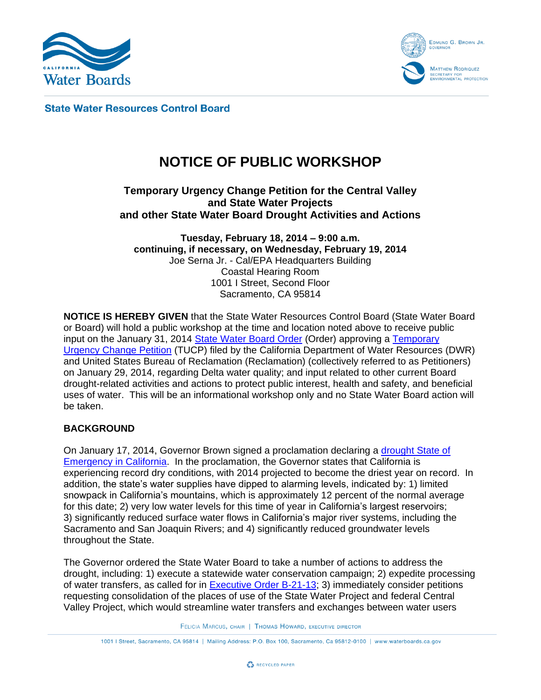



**State Water Resources Control Board** 

# **NOTICE OF PUBLIC WORKSHOP**

## **Temporary Urgency Change Petition for the Central Valley and State Water Projects and other State Water Board Drought Activities and Actions**

**Tuesday, February 18, 2014 – 9:00 a.m. continuing, if necessary, on Wednesday, February 19, 2014** Joe Serna Jr. - Cal/EPA Headquarters Building Coastal Hearing Room 1001 I Street, Second Floor Sacramento, CA 95814

**NOTICE IS HEREBY GIVEN** that the State Water Resources Control Board (State Water Board or Board) will hold a public workshop at the time and location noted above to receive public input on the January 31, 2014 [State Water Board Order](http://www.waterboards.ca.gov/waterrights/water_issues/programs/drought/docs/tucp/bd_change_order.pdf) (Order) approving a [Temporary](http://www.waterboards.ca.gov/waterrights/water_issues/programs/drought/docs/tucp/bd_tucp.pdf)  [Urgency Change Petition](http://www.waterboards.ca.gov/waterrights/water_issues/programs/drought/docs/tucp/bd_tucp.pdf) (TUCP) filed by the California Department of Water Resources (DWR) and United States Bureau of Reclamation (Reclamation) (collectively referred to as Petitioners) on January 29, 2014, regarding Delta water quality; and input related to other current Board drought-related activities and actions to protect public interest, health and safety, and beneficial uses of water. This will be an informational workshop only and no State Water Board action will be taken.

#### **BACKGROUND**

On January 17, 2014, Governor Brown signed a proclamation declaring a drought State of [Emergency in California.](http://gov.ca.gov/news.php?id=18368) In the proclamation, the Governor states that California is experiencing record dry conditions, with 2014 projected to become the driest year on record. In addition, the state's water supplies have dipped to alarming levels, indicated by: 1) limited snowpack in California's mountains, which is approximately 12 percent of the normal average for this date; 2) very low water levels for this time of year in California's largest reservoirs; 3) significantly reduced surface water flows in California's major river systems, including the Sacramento and San Joaquin Rivers; and 4) significantly reduced groundwater levels throughout the State.

The Governor ordered the State Water Board to take a number of actions to address the drought, including: 1) execute a statewide water conservation campaign; 2) expedite processing of water transfers, as called for in [Executive Order B-21-13;](http://gov.ca.gov/news.php?id=18048) 3) immediately consider petitions requesting consolidation of the places of use of the State Water Project and federal Central Valley Project, which would streamline water transfers and exchanges between water users

FELICIA MARCUS, CHAIR | THOMAS HOWARD, EXECUTIVE DIRECTOR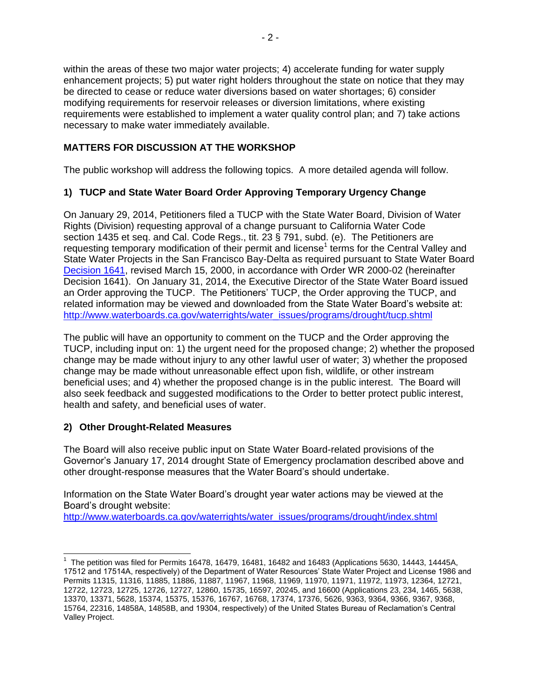within the areas of these two major water projects; 4) accelerate funding for water supply enhancement projects; 5) put water right holders throughout the state on notice that they may be directed to cease or reduce water diversions based on water shortages; 6) consider modifying requirements for reservoir releases or diversion limitations, where existing requirements were established to implement a water quality control plan; and 7) take actions necessary to make water immediately available.

## **MATTERS FOR DISCUSSION AT THE WORKSHOP**

The public workshop will address the following topics. A more detailed agenda will follow.

## **1) TUCP and State Water Board Order Approving Temporary Urgency Change**

On January 29, 2014, Petitioners filed a TUCP with the State Water Board, Division of Water Rights (Division) requesting approval of a change pursuant to California Water Code section 1435 et seq. and Cal. Code Regs., tit. 23 § 791, subd. (e). The Petitioners are requesting temporary modification of their permit and license<sup>1</sup> terms for the Central Valley and State Water Projects in the San Francisco Bay-Delta as required pursuant to State Water Board [Decision 1641,](http://www.waterboards.ca.gov/waterrights/board_decisions/adopted_orders/decisions/d1600_d1649/wrd1641_1999dec29.pdf) revised March 15, 2000, in accordance with Order WR 2000-02 (hereinafter Decision 1641). On January 31, 2014, the Executive Director of the State Water Board issued an Order approving the TUCP. The Petitioners' TUCP, the Order approving the TUCP, and related information may be viewed and downloaded from the State Water Board's website at: [http://www.waterboards.ca.gov/waterrights/water\\_issues/programs/drought/tucp.shtml](http://www.waterboards.ca.gov/waterrights/water_issues/programs/drought/tucp.shtml)

The public will have an opportunity to comment on the TUCP and the Order approving the TUCP, including input on: 1) the urgent need for the proposed change; 2) whether the proposed change may be made without injury to any other lawful user of water; 3) whether the proposed change may be made without unreasonable effect upon fish, wildlife, or other instream beneficial uses; and 4) whether the proposed change is in the public interest. The Board will also seek feedback and suggested modifications to the Order to better protect public interest, health and safety, and beneficial uses of water.

## **2) Other Drought-Related Measures**

The Board will also receive public input on State Water Board-related provisions of the Governor's January 17, 2014 drought State of Emergency proclamation described above and other drought-response measures that the Water Board's should undertake.

Information on the State Water Board's drought year water actions may be viewed at the Board's drought website:

[http://www.waterboards.ca.gov/waterrights/water\\_issues/programs/drought/index.shtml](http://www.waterboards.ca.gov/waterrights/water_issues/programs/drought/index.shtml)

 $\overline{a}$ <sup>1</sup> The petition was filed for Permits 16478, 16479, 16481, 16482 and 16483 (Applications 5630, 14443, 14445A, 17512 and 17514A, respectively) of the Department of Water Resources' State Water Project and License 1986 and Permits 11315, 11316, 11885, 11886, 11887, 11967, 11968, 11969, 11970, 11971, 11972, 11973, 12364, 12721, 12722, 12723, 12725, 12726, 12727, 12860, 15735, 16597, 20245, and 16600 (Applications 23, 234, 1465, 5638, 13370, 13371, 5628, 15374, 15375, 15376, 16767, 16768, 17374, 17376, 5626, 9363, 9364, 9366, 9367, 9368, 15764, 22316, 14858A, 14858B, and 19304, respectively) of the United States Bureau of Reclamation's Central Valley Project.